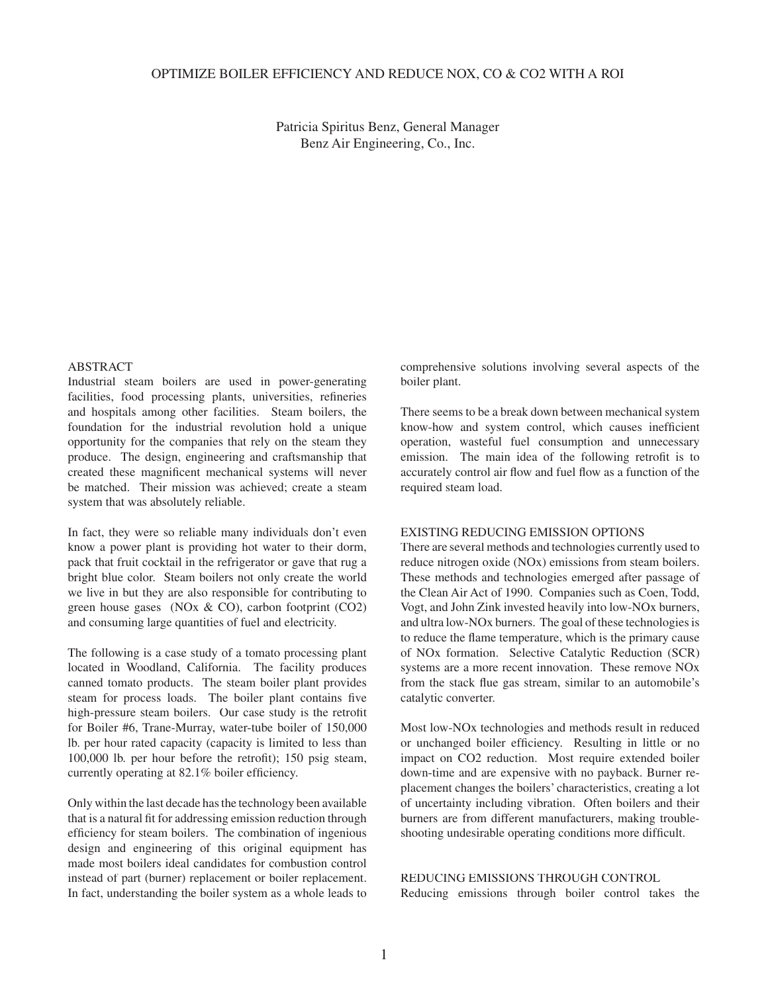# OPTIMIZE BOILER EFFICIENCY AND REDUCE NOX, CO & CO2 WITH A ROI

Patricia Spiritus Benz, General Manager Benz Air Engineering, Co., Inc.

# ABSTRACT

Industrial steam boilers are used in power-generating facilities, food processing plants, universities, refineries and hospitals among other facilities. Steam boilers, the foundation for the industrial revolution hold a unique opportunity for the companies that rely on the steam they produce. The design, engineering and craftsmanship that created these magnificent mechanical systems will never be matched. Their mission was achieved; create a steam system that was absolutely reliable.

In fact, they were so reliable many individuals don't even know a power plant is providing hot water to their dorm, pack that fruit cocktail in the refrigerator or gave that rug a bright blue color. Steam boilers not only create the world we live in but they are also responsible for contributing to green house gases (NOx & CO), carbon footprint (CO2) and consuming large quantities of fuel and electricity.

The following is a case study of a tomato processing plant located in Woodland, California. The facility produces canned tomato products. The steam boiler plant provides steam for process loads. The boiler plant contains five high-pressure steam boilers. Our case study is the retrofit for Boiler #6, Trane-Murray, water-tube boiler of 150,000 lb. per hour rated capacity (capacity is limited to less than  $100,000$  lb. per hour before the retrofit);  $150$  psig steam, currently operating at 82.1% boiler efficiency.

Only within the last decade has the technology been available that is a natural fit for addressing emission reduction through efficiency for steam boilers. The combination of ingenious design and engineering of this original equipment has made most boilers ideal candidates for combustion control instead of part (burner) replacement or boiler replacement. In fact, understanding the boiler system as a whole leads to comprehensive solutions involving several aspects of the boiler plant.

There seems to be a break down between mechanical system know-how and system control, which causes inefficient operation, wasteful fuel consumption and unnecessary emission. The main idea of the following retrofit is to accurately control air flow and fuel flow as a function of the required steam load.

#### EXISTING REDUCING EMISSION OPTIONS

There are several methods and technologies currently used to reduce nitrogen oxide (NOx) emissions from steam boilers. These methods and technologies emerged after passage of the Clean Air Act of 1990. Companies such as Coen, Todd, Vogt, and John Zink invested heavily into low-NOx burners, and ultra low-NOx burners. The goal of these technologies is to reduce the flame temperature, which is the primary cause of NOx formation. Selective Catalytic Reduction (SCR) systems are a more recent innovation. These remove NOx from the stack flue gas stream, similar to an automobile's catalytic converter.

Most low-NOx technologies and methods result in reduced or unchanged boiler efficiency. Resulting in little or no impact on CO2 reduction. Most require extended boiler down-time and are expensive with no payback. Burner replacement changes the boilers' characteristics, creating a lot of uncertainty including vibration. Often boilers and their burners are from different manufacturers, making troubleshooting undesirable operating conditions more difficult.

# REDUCING EMISSIONS THROUGH CONTROL

Reducing emissions through boiler control takes the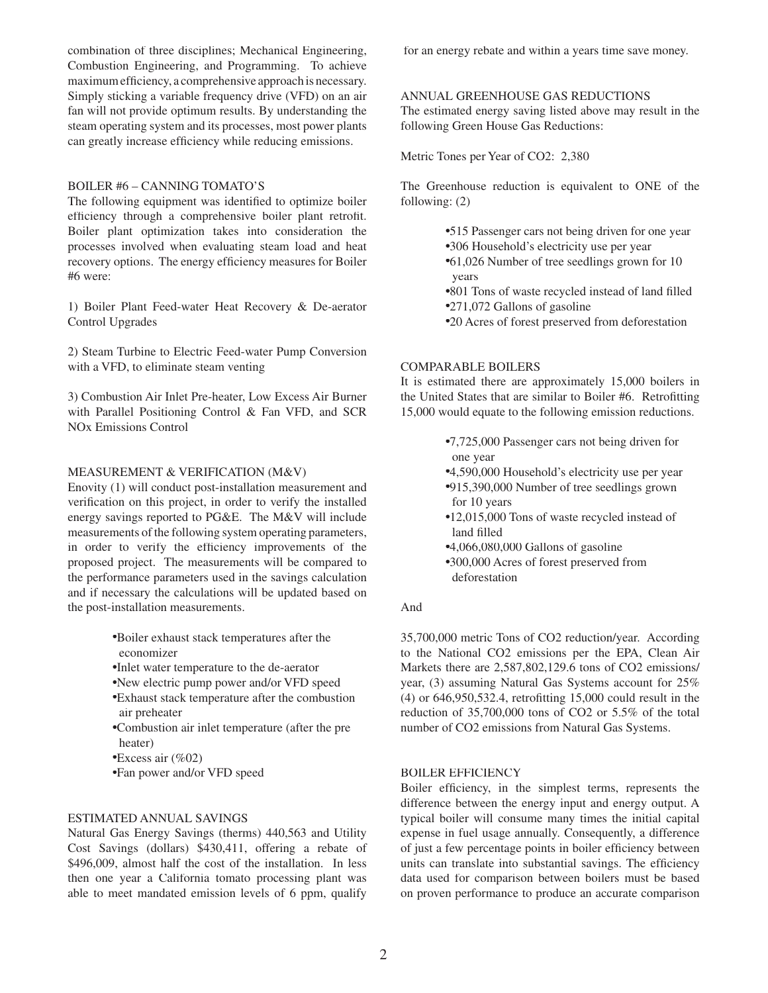combination of three disciplines; Mechanical Engineering, Combustion Engineering, and Programming. To achieve maximum efficiency, a comprehensive approach is necessary. Simply sticking a variable frequency drive (VFD) on an air fan will not provide optimum results. By understanding the steam operating system and its processes, most power plants can greatly increase efficiency while reducing emissions.

# BOILER #6 – CANNING TOMATO'S

The following equipment was identified to optimize boiler efficiency through a comprehensive boiler plant retrofit. Boiler plant optimization takes into consideration the processes involved when evaluating steam load and heat recovery options. The energy efficiency measures for Boiler #6 were:

1) Boiler Plant Feed-water Heat Recovery & De-aerator Control Upgrades

2) Steam Turbine to Electric Feed-water Pump Conversion with a VFD, to eliminate steam venting

3) Combustion Air Inlet Pre-heater, Low Excess Air Burner with Parallel Positioning Control & Fan VFD, and SCR NOx Emissions Control

# MEASUREMENT & VERIFICATION (M&V)

Enovity (1) will conduct post-installation measurement and verification on this project, in order to verify the installed energy savings reported to PG&E. The M&V will include measurements of the following system operating parameters, in order to verify the efficiency improvements of the proposed project. The measurements will be compared to the performance parameters used in the savings calculation and if necessary the calculations will be updated based on the post-installation measurements.

- ●Boiler exhaust stack temperatures after the economizer
- ●Inlet water temperature to the de-aerator
- ●New electric pump power and/or VFD speed
- ●Exhaust stack temperature after the combustion air preheater
- ●Combustion air inlet temperature (after the pre heater)
- $\triangle$ Excess air (%02)
- ●Fan power and/or VFD speed

#### ESTIMATED ANNUAL SAVINGS

Natural Gas Energy Savings (therms) 440,563 and Utility Cost Savings (dollars) \$430,411, offering a rebate of \$496,009, almost half the cost of the installation. In less then one year a California tomato processing plant was able to meet mandated emission levels of 6 ppm, qualify for an energy rebate and within a years time save money.

#### ANNUAL GREENHOUSE GAS REDUCTIONS

The estimated energy saving listed above may result in the following Green House Gas Reductions:

Metric Tones per Year of CO2: 2,380

The Greenhouse reduction is equivalent to ONE of the following: (2)

> ●515 Passenger cars not being driven for one year ●306 Household's electricity use per year ●61,026 Number of tree seedlings grown for 10 years ●801 Tons of waste recycled instead of land fi lled ●271,072 Gallons of gasoline ●20 Acres of forest preserved from deforestation

# COMPARABLE BOILERS

It is estimated there are approximately 15,000 boilers in the United States that are similar to Boiler #6. Retrofitting 15,000 would equate to the following emission reductions.

> ●7,725,000 Passenger cars not being driven for one year

- ●4,590,000 Household's electricity use per year ●915,390,000 Number of tree seedlings grown for 10 years
- ●12,015,000 Tons of waste recycled instead of land filled
- ●4,066,080,000 Gallons of gasoline
- ●300,000 Acres of forest preserved from deforestation

## And

35,700,000 metric Tons of CO2 reduction/year. According to the National CO2 emissions per the EPA, Clean Air Markets there are 2,587,802,129.6 tons of CO2 emissions/ year, (3) assuming Natural Gas Systems account for 25%  $(4)$  or 646,950,532.4, retrofitting 15,000 could result in the reduction of 35,700,000 tons of CO2 or 5.5% of the total number of CO2 emissions from Natural Gas Systems.

#### BOILER EFFICIENCY

Boiler efficiency, in the simplest terms, represents the difference between the energy input and energy output. A typical boiler will consume many times the initial capital expense in fuel usage annually. Consequently, a difference of just a few percentage points in boiler efficiency between units can translate into substantial savings. The efficiency data used for comparison between boilers must be based on proven performance to produce an accurate comparison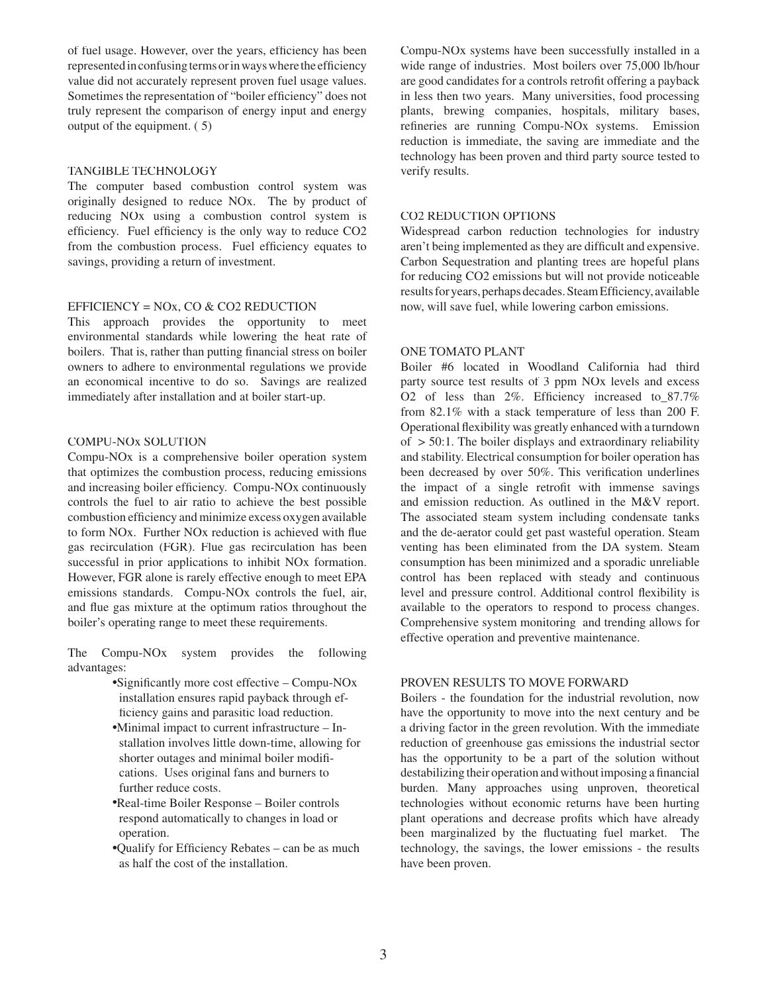of fuel usage. However, over the years, efficiency has been represented in confusing terms or in ways where the efficiency value did not accurately represent proven fuel usage values. Sometimes the representation of "boiler efficiency" does not truly represent the comparison of energy input and energy output of the equipment. ( 5)

#### TANGIBLE TECHNOLOGY

The computer based combustion control system was originally designed to reduce NOx. The by product of reducing NOx using a combustion control system is efficiency. Fuel efficiency is the only way to reduce  $CO<sub>2</sub>$ from the combustion process. Fuel efficiency equates to savings, providing a return of investment.

# EFFICIENCY = NOx, CO & CO2 REDUCTION

This approach provides the opportunity to meet environmental standards while lowering the heat rate of boilers. That is, rather than putting financial stress on boiler owners to adhere to environmental regulations we provide an economical incentive to do so. Savings are realized immediately after installation and at boiler start-up.

# COMPU-NOx SOLUTION

Compu-NOx is a comprehensive boiler operation system that optimizes the combustion process, reducing emissions and increasing boiler efficiency. Compu-NO<sub>x</sub> continuously controls the fuel to air ratio to achieve the best possible combustion efficiency and minimize excess oxygen available to form NO<sub>x</sub>. Further NO<sub>x</sub> reduction is achieved with flue gas recirculation (FGR). Flue gas recirculation has been successful in prior applications to inhibit NOx formation. However, FGR alone is rarely effective enough to meet EPA emissions standards. Compu-NOx controls the fuel, air, and flue gas mixture at the optimum ratios throughout the boiler's operating range to meet these requirements.

The Compu-NOx system provides the following advantages:

- $\bullet$ Significantly more cost effective Compu-NOx installation ensures rapid payback through ef ficiency gains and parasitic load reduction.
- ●Minimal impact to current infrastructure In stallation involves little down-time, allowing for shorter outages and minimal boiler modifi cations. Uses original fans and burners to further reduce costs.
- ●Real-time Boiler Response Boiler controls respond automatically to changes in load or operation.
- $\bullet$ Qualify for Efficiency Rebates can be as much as half the cost of the installation.

Compu-NOx systems have been successfully installed in a wide range of industries. Most boilers over 75,000 lb/hour are good candidates for a controls retrofit offering a payback in less then two years. Many universities, food processing plants, brewing companies, hospitals, military bases, refineries are running Compu-NO<sub>x</sub> systems. Emission reduction is immediate, the saving are immediate and the technology has been proven and third party source tested to verify results.

## CO2 REDUCTION OPTIONS

Widespread carbon reduction technologies for industry aren't being implemented as they are difficult and expensive. Carbon Sequestration and planting trees are hopeful plans for reducing CO2 emissions but will not provide noticeable results for years, perhaps decades. Steam Efficiency, available now, will save fuel, while lowering carbon emissions.

#### ONE TOMATO PLANT

Boiler #6 located in Woodland California had third party source test results of 3 ppm NOx levels and excess O2 of less than  $2\%$ . Efficiency increased to  $87.7\%$ from 82.1% with a stack temperature of less than 200 F. Operational flexibility was greatly enhanced with a turndown of  $>$  50:1. The boiler displays and extraordinary reliability and stability. Electrical consumption for boiler operation has been decreased by over 50%. This verification underlines the impact of a single retrofit with immense savings and emission reduction. As outlined in the M&V report. The associated steam system including condensate tanks and the de-aerator could get past wasteful operation. Steam venting has been eliminated from the DA system. Steam consumption has been minimized and a sporadic unreliable control has been replaced with steady and continuous level and pressure control. Additional control flexibility is available to the operators to respond to process changes. Comprehensive system monitoring and trending allows for effective operation and preventive maintenance.

### PROVEN RESULTS TO MOVE FORWARD

Boilers - the foundation for the industrial revolution, now have the opportunity to move into the next century and be a driving factor in the green revolution. With the immediate reduction of greenhouse gas emissions the industrial sector has the opportunity to be a part of the solution without destabilizing their operation and without imposing a financial burden. Many approaches using unproven, theoretical technologies without economic returns have been hurting plant operations and decrease profits which have already been marginalized by the fluctuating fuel market. The technology, the savings, the lower emissions - the results have been proven.